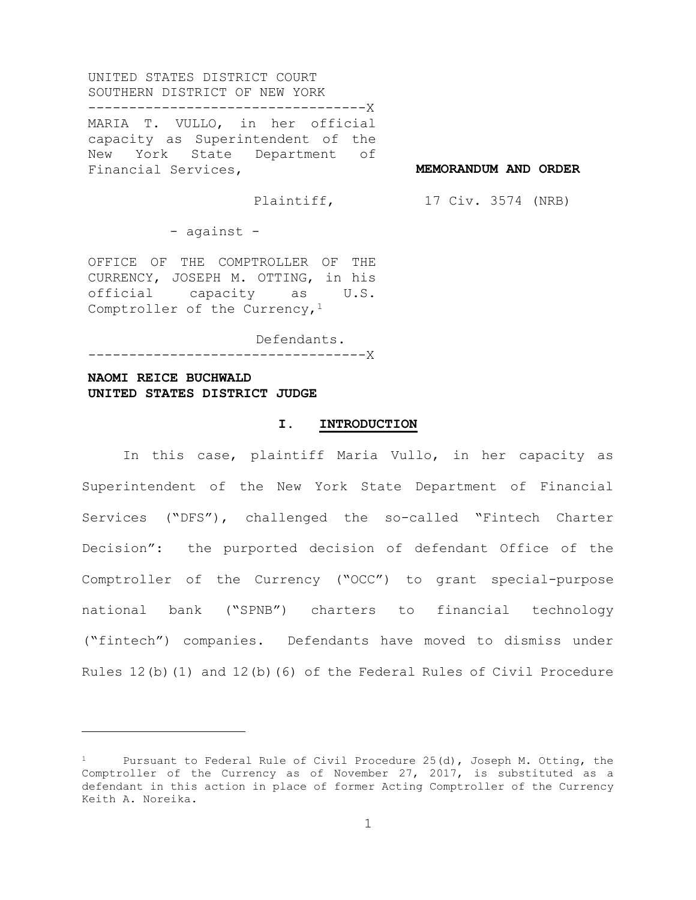UNITED STATES DISTRICT COURT SOUTHERN DISTRICT OF NEW YORK ----------------------------------X

MARIA T. VULLO, in her official capacity as Superintendent of the New York State Department of Financial Services,

**MEMORANDUM AND ORDER**

Plaintiff,

17 Civ. 3574 (NRB)

- against -

OFFICE OF THE COMPTROLLER OF THE CURRENCY, JOSEPH M. OTTING, in his official capacity as U.S. Comptroller of the Currency,  $1$ 

Defendants. ----------------------------------X

## **NAOMI REICE BUCHWALD UNITED STATES DISTRICT JUDGE**

i

## **I. INTRODUCTION**

In this case, plaintiff Maria Vullo, in her capacity as Superintendent of the New York State Department of Financial Services ("DFS"), challenged the so-called "Fintech Charter Decision": the purported decision of defendant Office of the Comptroller of the Currency ("OCC") to grant special-purpose national bank ("SPNB") charters to financial technology ("fintech") companies. Defendants have moved to dismiss under Rules 12(b)(1) and 12(b)(6) of the Federal Rules of Civil Procedure

Pursuant to Federal Rule of Civil Procedure 25(d), Joseph M. Otting, the Comptroller of the Currency as of November 27, 2017, is substituted as a defendant in this action in place of former Acting Comptroller of the Currency Keith A. Noreika.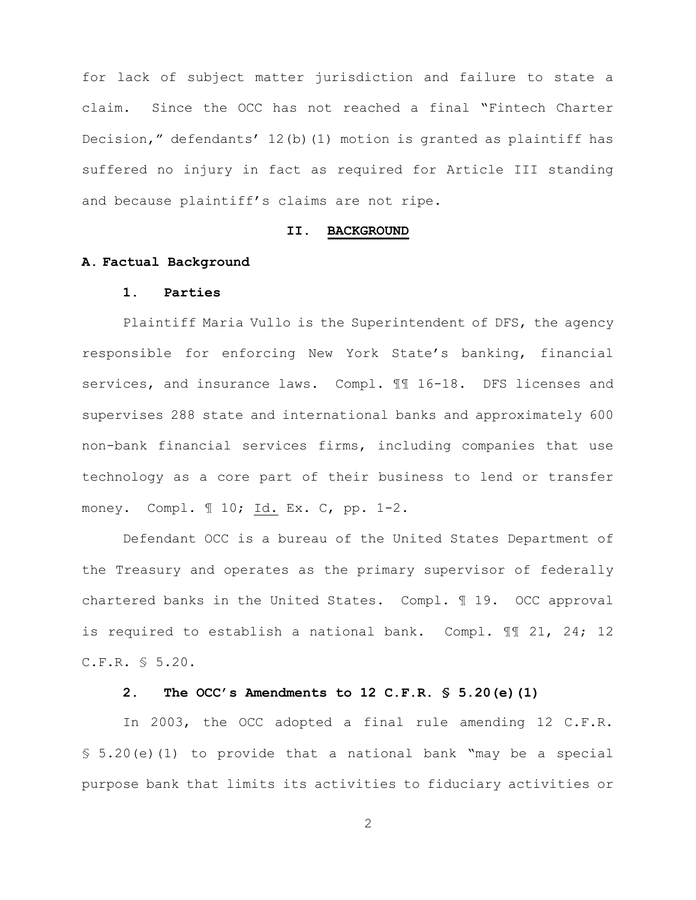for lack of subject matter jurisdiction and failure to state a claim. Since the OCC has not reached a final "Fintech Charter Decision," defendants' 12(b)(1) motion is granted as plaintiff has suffered no injury in fact as required for Article III standing and because plaintiff's claims are not ripe.

#### **II. BACKGROUND**

## **A. Factual Background**

#### **1. Parties**

Plaintiff Maria Vullo is the Superintendent of DFS, the agency responsible for enforcing New York State's banking, financial services, and insurance laws. Compl. ¶¶ 16-18. DFS licenses and supervises 288 state and international banks and approximately 600 non-bank financial services firms, including companies that use technology as a core part of their business to lend or transfer money. Compl. ¶ 10; Id. Ex. C, pp. 1-2.

Defendant OCC is a bureau of the United States Department of the Treasury and operates as the primary supervisor of federally chartered banks in the United States. Compl. ¶ 19. OCC approval is required to establish a national bank. Compl. ¶¶ 21, 24; 12 C.F.R. § 5.20.

## **2. The OCC's Amendments to 12 C.F.R. § 5.20(e)(1)**

In 2003, the OCC adopted a final rule amending 12 C.F.R. § 5.20(e)(1) to provide that a national bank "may be a special purpose bank that limits its activities to fiduciary activities or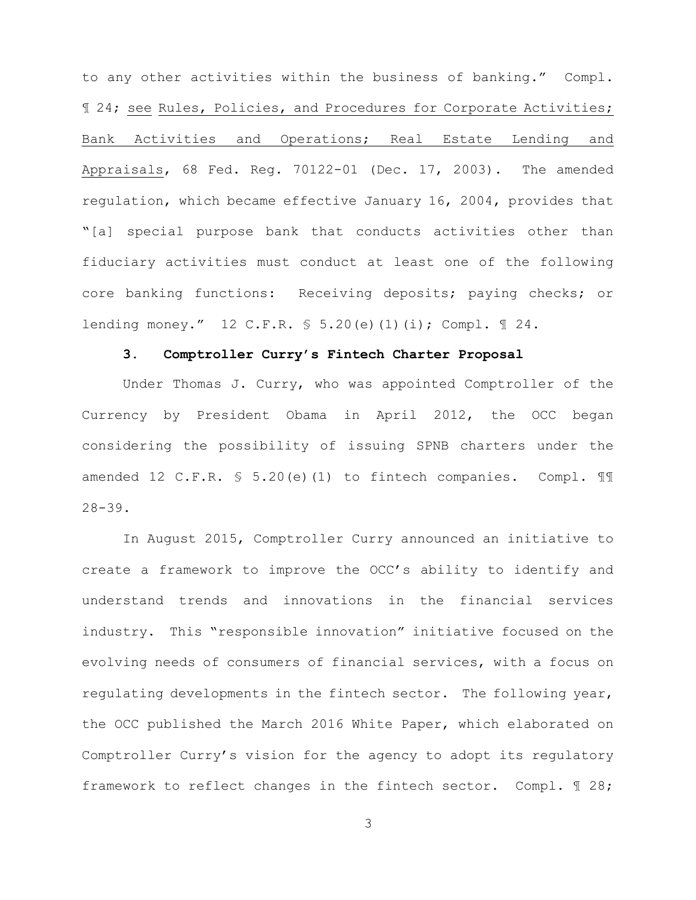to any other activities within the business of banking." Compl. ¶ 24; see Rules, Policies, and Procedures for Corporate Activities; Bank Activities and Operations; Real Estate Lending and Appraisals, 68 Fed. Reg. 70122-01 (Dec. 17, 2003). The amended regulation, which became effective January 16, 2004, provides that "[a] special purpose bank that conducts activities other than fiduciary activities must conduct at least one of the following core banking functions: Receiving deposits; paying checks; or lending money." 12 C.F.R. § 5.20(e)(1)(i); Compl. ¶ 24.

#### **3. Comptroller Curry's Fintech Charter Proposal**

Under Thomas J. Curry, who was appointed Comptroller of the Currency by President Obama in April 2012, the OCC began considering the possibility of issuing SPNB charters under the amended 12 C.F.R. § 5.20(e)(1) to fintech companies. Compl. ¶¶ 28-39.

In August 2015, Comptroller Curry announced an initiative to create a framework to improve the OCC's ability to identify and understand trends and innovations in the financial services industry. This "responsible innovation" initiative focused on the evolving needs of consumers of financial services, with a focus on regulating developments in the fintech sector. The following year, the OCC published the March 2016 White Paper, which elaborated on Comptroller Curry's vision for the agency to adopt its regulatory framework to reflect changes in the fintech sector. Compl. ¶ 28;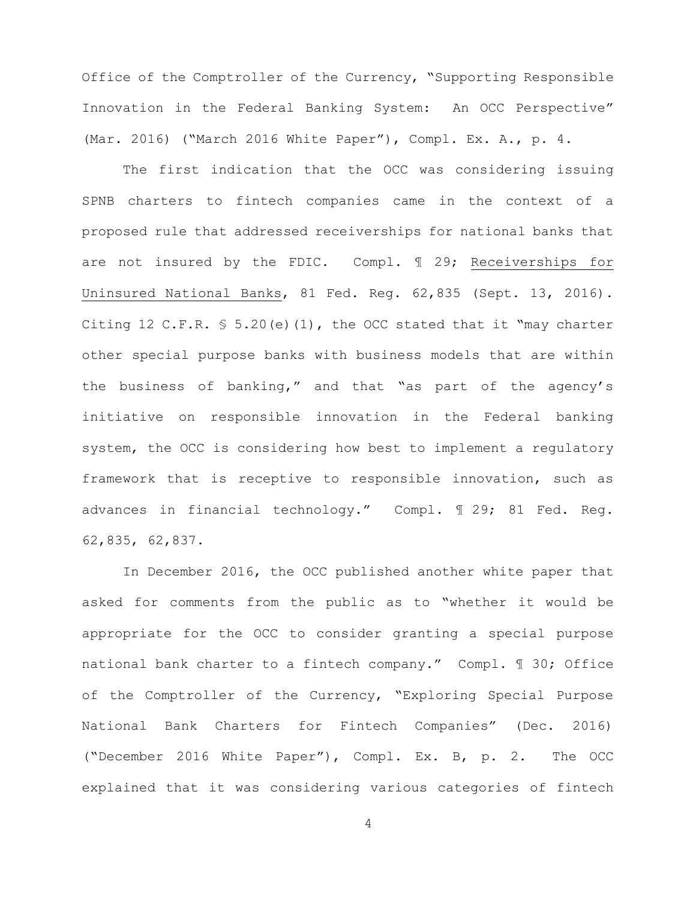Office of the Comptroller of the Currency, "Supporting Responsible Innovation in the Federal Banking System: An OCC Perspective" (Mar. 2016) ("March 2016 White Paper"), Compl. Ex. A., p. 4.

The first indication that the OCC was considering issuing SPNB charters to fintech companies came in the context of a proposed rule that addressed receiverships for national banks that are not insured by the FDIC. Compl. ¶ 29; Receiverships for Uninsured National Banks, 81 Fed. Reg. 62,835 (Sept. 13, 2016). Citing 12 C.F.R.  $$ 5.20(e)(1)$ , the OCC stated that it "may charter other special purpose banks with business models that are within the business of banking," and that "as part of the agency's initiative on responsible innovation in the Federal banking system, the OCC is considering how best to implement a regulatory framework that is receptive to responsible innovation, such as advances in financial technology." Compl. ¶ 29; 81 Fed. Reg. 62,835, 62,837.

In December 2016, the OCC published another white paper that asked for comments from the public as to "whether it would be appropriate for the OCC to consider granting a special purpose national bank charter to a fintech company." Compl. ¶ 30; Office of the Comptroller of the Currency, "Exploring Special Purpose National Bank Charters for Fintech Companies" (Dec. 2016) ("December 2016 White Paper"), Compl. Ex. B, p. 2. The OCC explained that it was considering various categories of fintech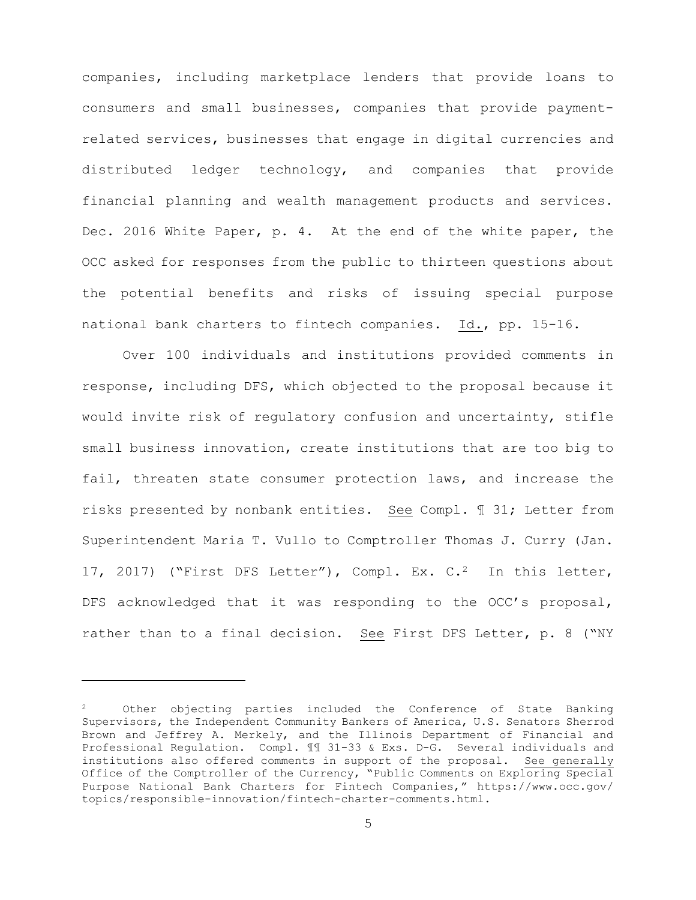companies, including marketplace lenders that provide loans to consumers and small businesses, companies that provide paymentrelated services, businesses that engage in digital currencies and distributed ledger technology, and companies that provide financial planning and wealth management products and services. Dec. 2016 White Paper, p. 4. At the end of the white paper, the OCC asked for responses from the public to thirteen questions about the potential benefits and risks of issuing special purpose national bank charters to fintech companies. Id., pp. 15-16.

Over 100 individuals and institutions provided comments in response, including DFS, which objected to the proposal because it would invite risk of regulatory confusion and uncertainty, stifle small business innovation, create institutions that are too big to fail, threaten state consumer protection laws, and increase the risks presented by nonbank entities. See Compl. ¶ 31; Letter from Superintendent Maria T. Vullo to Comptroller Thomas J. Curry (Jan. 17, 2017) ("First DFS Letter"), Compl. Ex. C.2 In this letter, DFS acknowledged that it was responding to the OCC's proposal, rather than to a final decision. See First DFS Letter, p. 8 ("NY

i

 $2$  Other objecting parties included the Conference of State Banking Supervisors, the Independent Community Bankers of America, U.S. Senators Sherrod Brown and Jeffrey A. Merkely, and the Illinois Department of Financial and Professional Regulation. Compl. ¶¶ 31-33 & Exs. D-G. Several individuals and institutions also offered comments in support of the proposal. See generally Office of the Comptroller of the Currency, "Public Comments on Exploring Special Purpose National Bank Charters for Fintech Companies," https://www.occ.gov/ topics/responsible-innovation/fintech-charter-comments.html.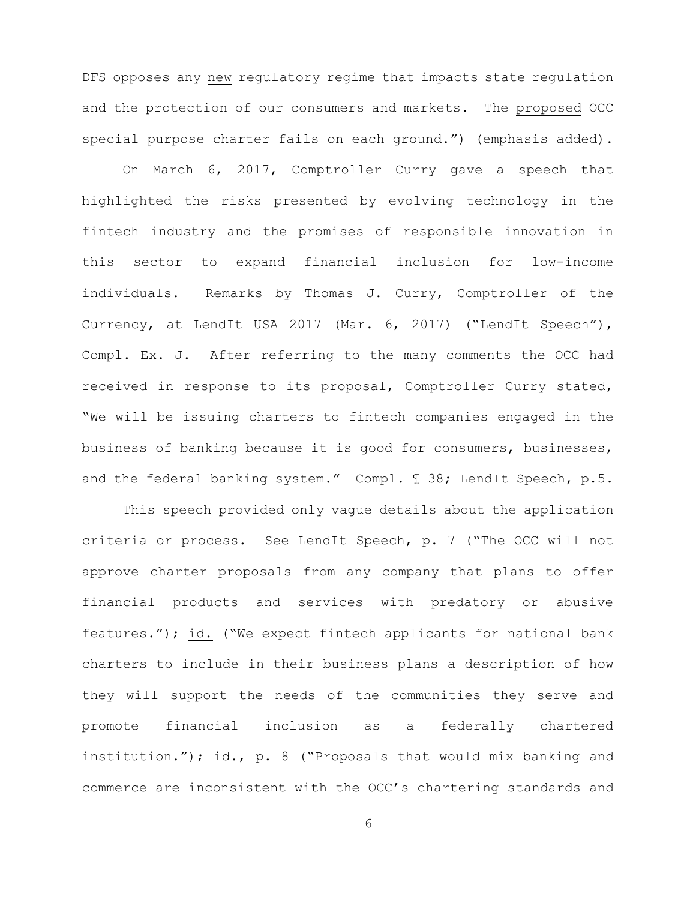DFS opposes any new regulatory regime that impacts state regulation and the protection of our consumers and markets. The proposed OCC special purpose charter fails on each ground.") (emphasis added).

On March 6, 2017, Comptroller Curry gave a speech that highlighted the risks presented by evolving technology in the fintech industry and the promises of responsible innovation in this sector to expand financial inclusion for low-income individuals. Remarks by Thomas J. Curry, Comptroller of the Currency, at LendIt USA 2017 (Mar. 6, 2017) ("LendIt Speech"), Compl. Ex. J. After referring to the many comments the OCC had received in response to its proposal, Comptroller Curry stated, "We will be issuing charters to fintech companies engaged in the business of banking because it is good for consumers, businesses, and the federal banking system." Compl. 1 38; LendIt Speech, p.5.

This speech provided only vague details about the application criteria or process. See LendIt Speech, p. 7 ("The OCC will not approve charter proposals from any company that plans to offer financial products and services with predatory or abusive features."); id. ("We expect fintech applicants for national bank charters to include in their business plans a description of how they will support the needs of the communities they serve and promote financial inclusion as a federally chartered institution."); id., p. 8 ("Proposals that would mix banking and commerce are inconsistent with the OCC's chartering standards and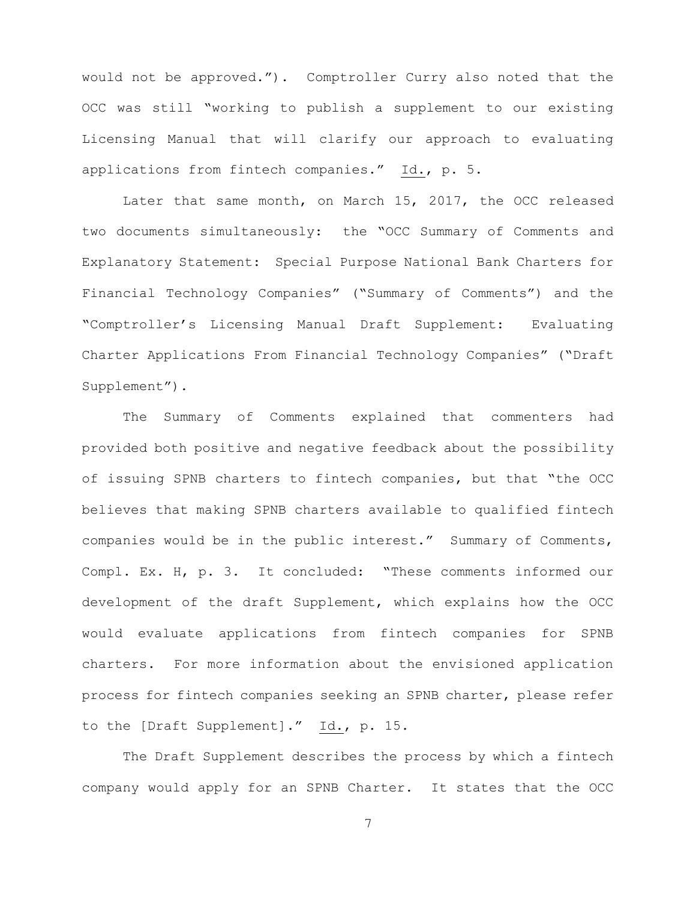would not be approved."). Comptroller Curry also noted that the OCC was still "working to publish a supplement to our existing Licensing Manual that will clarify our approach to evaluating applications from fintech companies." Id., p. 5.

Later that same month, on March 15, 2017, the OCC released two documents simultaneously: the "OCC Summary of Comments and Explanatory Statement: Special Purpose National Bank Charters for Financial Technology Companies" ("Summary of Comments") and the "Comptroller's Licensing Manual Draft Supplement: Evaluating Charter Applications From Financial Technology Companies" ("Draft Supplement").

The Summary of Comments explained that commenters had provided both positive and negative feedback about the possibility of issuing SPNB charters to fintech companies, but that "the OCC believes that making SPNB charters available to qualified fintech companies would be in the public interest." Summary of Comments, Compl. Ex. H, p. 3. It concluded: "These comments informed our development of the draft Supplement, which explains how the OCC would evaluate applications from fintech companies for SPNB charters. For more information about the envisioned application process for fintech companies seeking an SPNB charter, please refer to the [Draft Supplement]." Id., p. 15.

The Draft Supplement describes the process by which a fintech company would apply for an SPNB Charter. It states that the OCC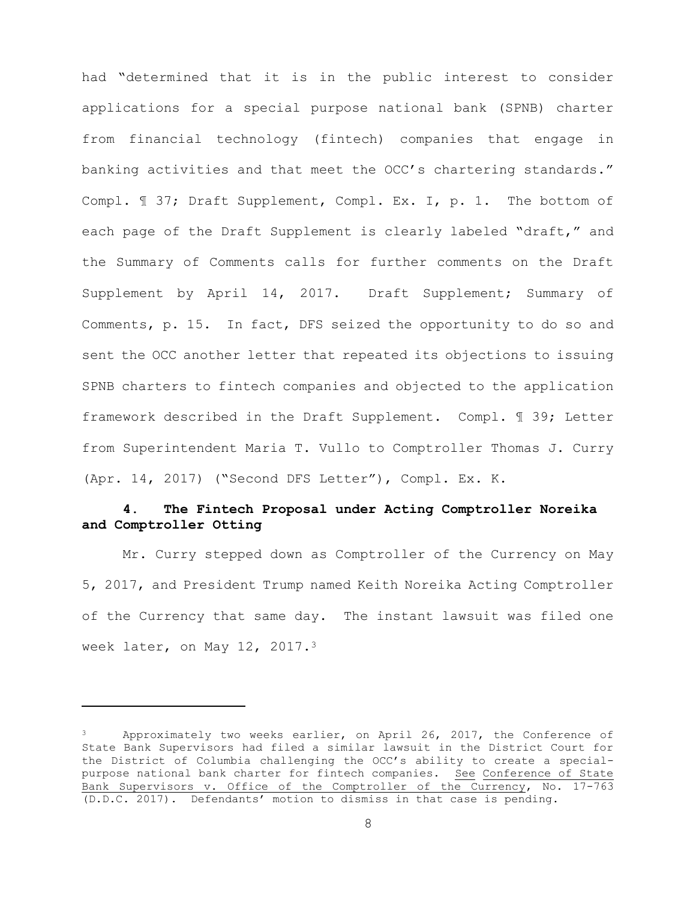had "determined that it is in the public interest to consider applications for a special purpose national bank (SPNB) charter from financial technology (fintech) companies that engage in banking activities and that meet the OCC's chartering standards." Compl. ¶ 37; Draft Supplement, Compl. Ex. I, p. 1. The bottom of each page of the Draft Supplement is clearly labeled "draft," and the Summary of Comments calls for further comments on the Draft Supplement by April 14, 2017. Draft Supplement; Summary of Comments, p. 15. In fact, DFS seized the opportunity to do so and sent the OCC another letter that repeated its objections to issuing SPNB charters to fintech companies and objected to the application framework described in the Draft Supplement. Compl. ¶ 39; Letter from Superintendent Maria T. Vullo to Comptroller Thomas J. Curry (Apr. 14, 2017) ("Second DFS Letter"), Compl. Ex. K.

# **4. The Fintech Proposal under Acting Comptroller Noreika and Comptroller Otting**

Mr. Curry stepped down as Comptroller of the Currency on May 5, 2017, and President Trump named Keith Noreika Acting Comptroller of the Currency that same day. The instant lawsuit was filed one week later, on May 12, 2017.3

i<br>Li

<sup>&</sup>lt;sup>3</sup> Approximately two weeks earlier, on April 26, 2017, the Conference of State Bank Supervisors had filed a similar lawsuit in the District Court for the District of Columbia challenging the OCC's ability to create a specialpurpose national bank charter for fintech companies. See Conference of State Bank Supervisors v. Office of the Comptroller of the Currency, No. 17-763 (D.D.C. 2017). Defendants' motion to dismiss in that case is pending.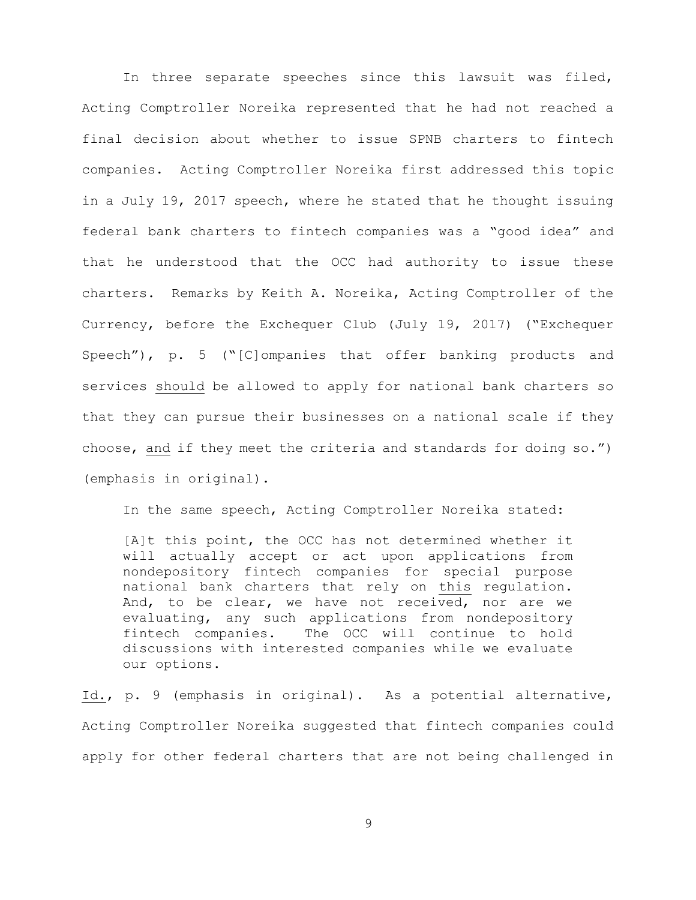In three separate speeches since this lawsuit was filed, Acting Comptroller Noreika represented that he had not reached a final decision about whether to issue SPNB charters to fintech companies. Acting Comptroller Noreika first addressed this topic in a July 19, 2017 speech, where he stated that he thought issuing federal bank charters to fintech companies was a "good idea" and that he understood that the OCC had authority to issue these charters. Remarks by Keith A. Noreika, Acting Comptroller of the Currency, before the Exchequer Club (July 19, 2017) ("Exchequer Speech"), p. 5 ("[C]ompanies that offer banking products and services should be allowed to apply for national bank charters so that they can pursue their businesses on a national scale if they choose, and if they meet the criteria and standards for doing so.") (emphasis in original).

In the same speech, Acting Comptroller Noreika stated:

[A]t this point, the OCC has not determined whether it will actually accept or act upon applications from nondepository fintech companies for special purpose national bank charters that rely on this regulation. And, to be clear, we have not received, nor are we evaluating, any such applications from nondepository fintech companies. The OCC will continue to hold discussions with interested companies while we evaluate our options.

Id., p. 9 (emphasis in original). As a potential alternative, Acting Comptroller Noreika suggested that fintech companies could apply for other federal charters that are not being challenged in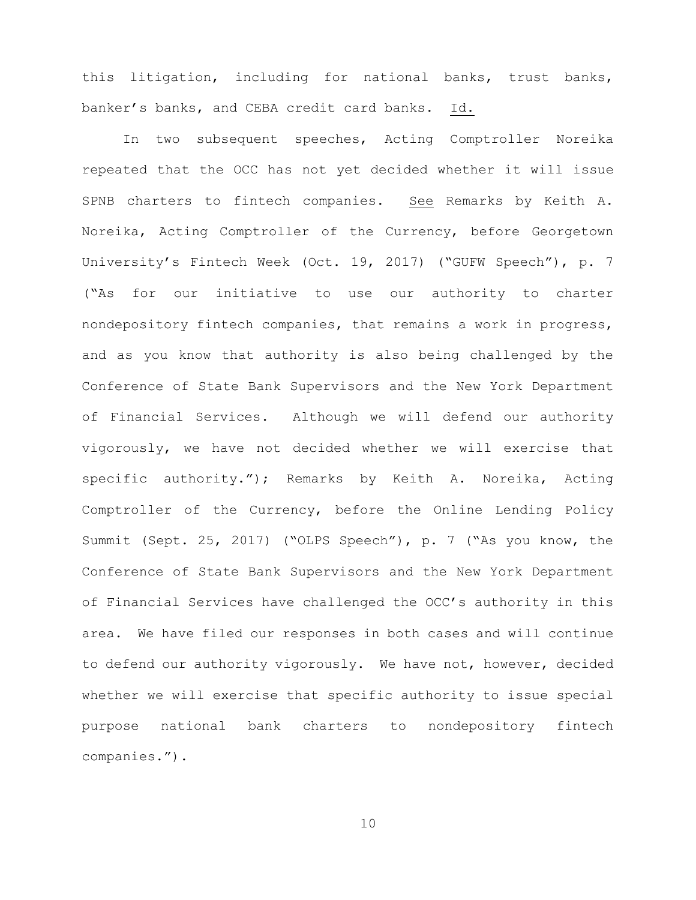this litigation, including for national banks, trust banks, banker's banks, and CEBA credit card banks. Id.

In two subsequent speeches, Acting Comptroller Noreika repeated that the OCC has not yet decided whether it will issue SPNB charters to fintech companies. See Remarks by Keith A. Noreika, Acting Comptroller of the Currency, before Georgetown University's Fintech Week (Oct. 19, 2017) ("GUFW Speech"), p. 7 ("As for our initiative to use our authority to charter nondepository fintech companies, that remains a work in progress, and as you know that authority is also being challenged by the Conference of State Bank Supervisors and the New York Department of Financial Services. Although we will defend our authority vigorously, we have not decided whether we will exercise that specific authority."); Remarks by Keith A. Noreika, Acting Comptroller of the Currency, before the Online Lending Policy Summit (Sept. 25, 2017) ("OLPS Speech"), p. 7 ("As you know, the Conference of State Bank Supervisors and the New York Department of Financial Services have challenged the OCC's authority in this area. We have filed our responses in both cases and will continue to defend our authority vigorously. We have not, however, decided whether we will exercise that specific authority to issue special purpose national bank charters to nondepository fintech companies.").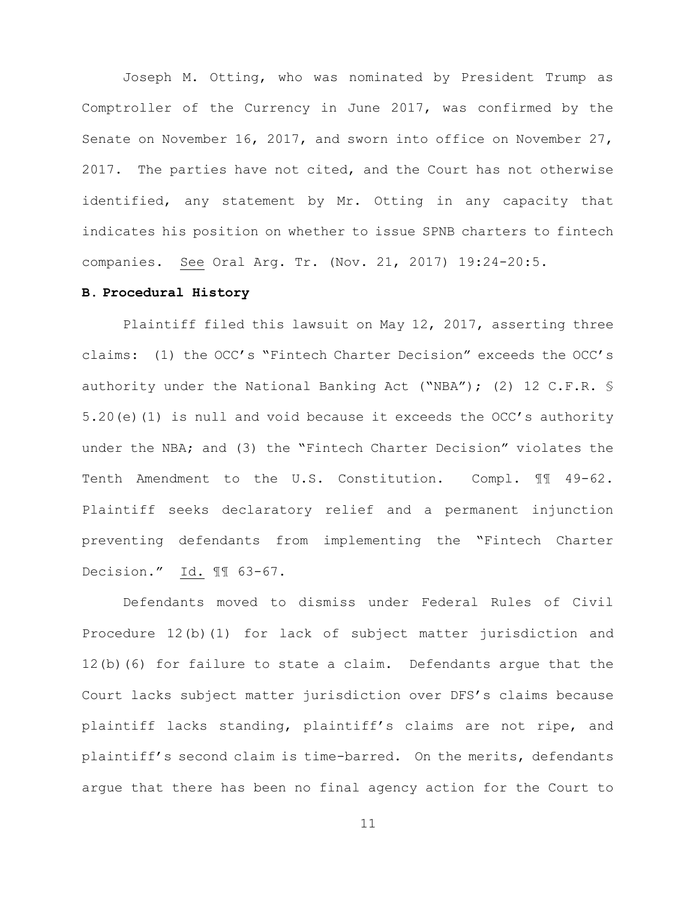Joseph M. Otting, who was nominated by President Trump as Comptroller of the Currency in June 2017, was confirmed by the Senate on November 16, 2017, and sworn into office on November 27, 2017. The parties have not cited, and the Court has not otherwise identified, any statement by Mr. Otting in any capacity that indicates his position on whether to issue SPNB charters to fintech companies. See Oral Arg. Tr. (Nov. 21, 2017) 19:24-20:5.

#### **B. Procedural History**

Plaintiff filed this lawsuit on May 12, 2017, asserting three claims: (1) the OCC's "Fintech Charter Decision" exceeds the OCC's authority under the National Banking Act ("NBA"); (2) 12 C.F.R. § 5.20(e)(1) is null and void because it exceeds the OCC's authority under the NBA; and (3) the "Fintech Charter Decision" violates the Tenth Amendment to the U.S. Constitution. Compl. 11 49-62. Plaintiff seeks declaratory relief and a permanent injunction preventing defendants from implementing the "Fintech Charter Decision." Id. ¶¶ 63-67.

Defendants moved to dismiss under Federal Rules of Civil Procedure 12(b)(1) for lack of subject matter jurisdiction and 12(b)(6) for failure to state a claim. Defendants argue that the Court lacks subject matter jurisdiction over DFS's claims because plaintiff lacks standing, plaintiff's claims are not ripe, and plaintiff's second claim is time-barred. On the merits, defendants argue that there has been no final agency action for the Court to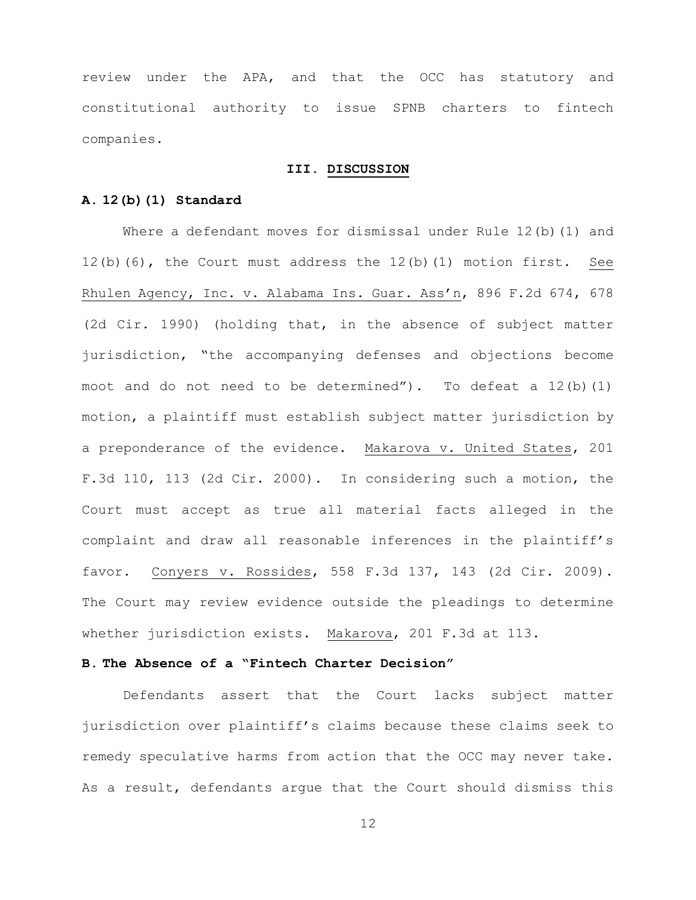review under the APA, and that the OCC has statutory and constitutional authority to issue SPNB charters to fintech companies.

# **III. DISCUSSION**

## **A. 12(b)(1) Standard**

Where a defendant moves for dismissal under Rule 12(b)(1) and 12(b)(6), the Court must address the 12(b)(1) motion first. See Rhulen Agency, Inc. v. Alabama Ins. Guar. Ass'n, 896 F.2d 674, 678 (2d Cir. 1990) (holding that, in the absence of subject matter jurisdiction, "the accompanying defenses and objections become moot and do not need to be determined"). To defeat a  $12(b)(1)$ motion, a plaintiff must establish subject matter jurisdiction by a preponderance of the evidence. Makarova v. United States, 201 F.3d 110, 113 (2d Cir. 2000). In considering such a motion, the Court must accept as true all material facts alleged in the complaint and draw all reasonable inferences in the plaintiff's favor. Conyers v. Rossides, 558 F.3d 137, 143 (2d Cir. 2009). The Court may review evidence outside the pleadings to determine whether jurisdiction exists. Makarova, 201 F.3d at 113.

## **B. The Absence of a "Fintech Charter Decision"**

Defendants assert that the Court lacks subject matter jurisdiction over plaintiff's claims because these claims seek to remedy speculative harms from action that the OCC may never take. As a result, defendants argue that the Court should dismiss this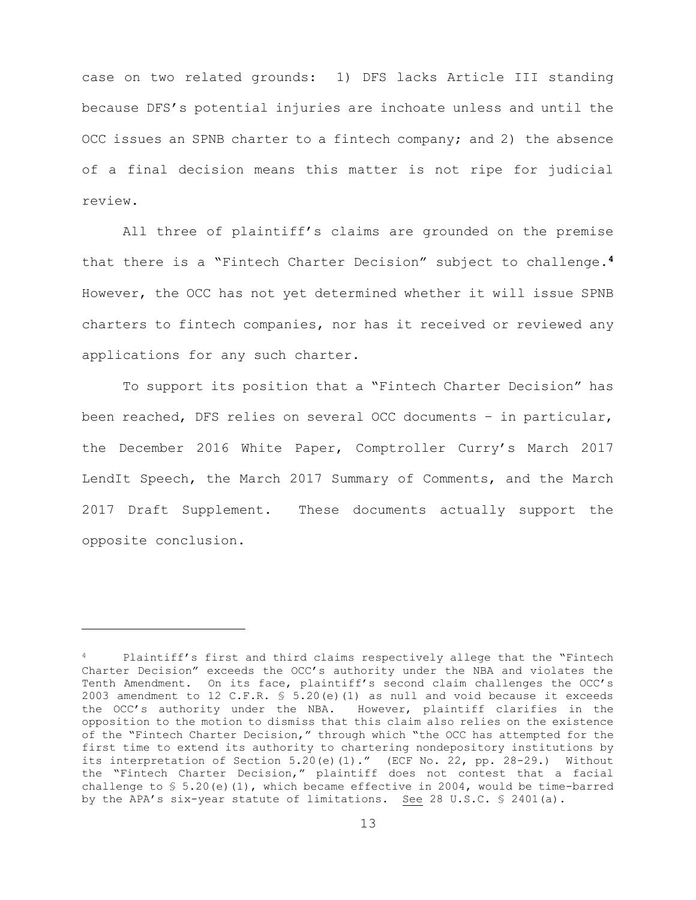case on two related grounds: 1) DFS lacks Article III standing because DFS's potential injuries are inchoate unless and until the OCC issues an SPNB charter to a fintech company; and 2) the absence of a final decision means this matter is not ripe for judicial review.

All three of plaintiff's claims are grounded on the premise that there is a "Fintech Charter Decision" subject to challenge.**<sup>4</sup>** However, the OCC has not yet determined whether it will issue SPNB charters to fintech companies, nor has it received or reviewed any applications for any such charter.

To support its position that a "Fintech Charter Decision" has been reached, DFS relies on several OCC documents – in particular, the December 2016 White Paper, Comptroller Curry's March 2017 LendIt Speech, the March 2017 Summary of Comments, and the March 2017 Draft Supplement. These documents actually support the opposite conclusion.

i

Plaintiff's first and third claims respectively allege that the "Fintech Charter Decision" exceeds the OCC's authority under the NBA and violates the Tenth Amendment. On its face, plaintiff's second claim challenges the OCC's 2003 amendment to 12 C.F.R. § 5.20(e)(1) as null and void because it exceeds the OCC's authority under the NBA. However, plaintiff clarifies in the opposition to the motion to dismiss that this claim also relies on the existence of the "Fintech Charter Decision," through which "the OCC has attempted for the first time to extend its authority to chartering nondepository institutions by its interpretation of Section 5.20(e)(1)." (ECF No. 22, pp. 28-29.) Without the "Fintech Charter Decision," plaintiff does not contest that a facial challenge to § 5.20(e)(1), which became effective in 2004, would be time-barred by the APA's six-year statute of limitations. See 28 U.S.C. § 2401(a).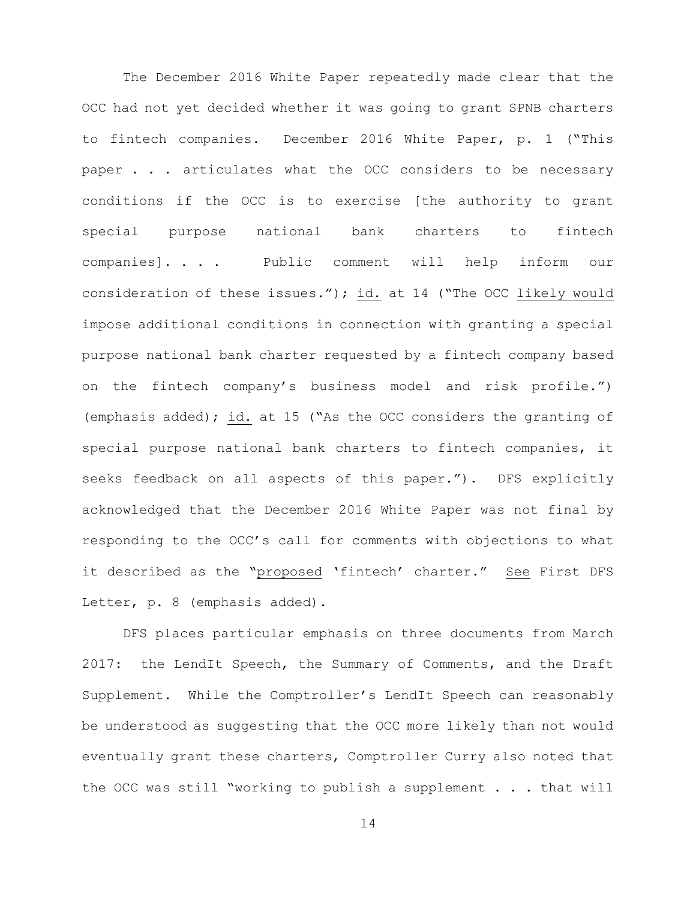The December 2016 White Paper repeatedly made clear that the OCC had not yet decided whether it was going to grant SPNB charters to fintech companies. December 2016 White Paper, p. 1 ("This paper . . . articulates what the OCC considers to be necessary conditions if the OCC is to exercise [the authority to grant special purpose national bank charters to fintech companies]. . . . Public comment will help inform our consideration of these issues."); id. at 14 ("The OCC likely would impose additional conditions in connection with granting a special purpose national bank charter requested by a fintech company based on the fintech company's business model and risk profile.") (emphasis added); id. at 15 ("As the OCC considers the granting of special purpose national bank charters to fintech companies, it seeks feedback on all aspects of this paper."). DFS explicitly acknowledged that the December 2016 White Paper was not final by responding to the OCC's call for comments with objections to what it described as the "proposed 'fintech' charter." See First DFS Letter, p. 8 (emphasis added).

DFS places particular emphasis on three documents from March 2017: the LendIt Speech, the Summary of Comments, and the Draft Supplement. While the Comptroller's LendIt Speech can reasonably be understood as suggesting that the OCC more likely than not would eventually grant these charters, Comptroller Curry also noted that the OCC was still "working to publish a supplement . . . that will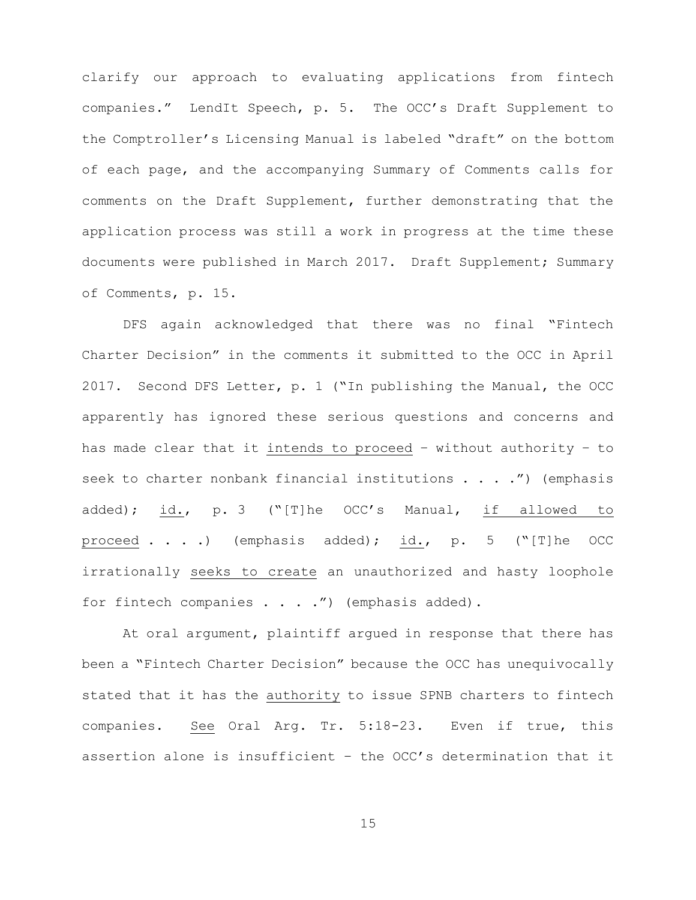clarify our approach to evaluating applications from fintech companies." LendIt Speech, p. 5. The OCC's Draft Supplement to the Comptroller's Licensing Manual is labeled "draft" on the bottom of each page, and the accompanying Summary of Comments calls for comments on the Draft Supplement, further demonstrating that the application process was still a work in progress at the time these documents were published in March 2017. Draft Supplement; Summary of Comments, p. 15.

DFS again acknowledged that there was no final "Fintech Charter Decision" in the comments it submitted to the OCC in April 2017. Second DFS Letter, p. 1 ("In publishing the Manual, the OCC apparently has ignored these serious questions and concerns and has made clear that it intends to proceed – without authority – to seek to charter nonbank financial institutions  $\ldots$  . .") (emphasis added); id., p. 3 ("[T]he OCC's Manual, if allowed to proceed . . . .) (emphasis added); id., p. 5 ("[T]he OCC irrationally seeks to create an unauthorized and hasty loophole for fintech companies . . . . ") (emphasis added).

At oral argument, plaintiff argued in response that there has been a "Fintech Charter Decision" because the OCC has unequivocally stated that it has the authority to issue SPNB charters to fintech companies. See Oral Arg. Tr. 5:18-23. Even if true, this assertion alone is insufficient – the OCC's determination that it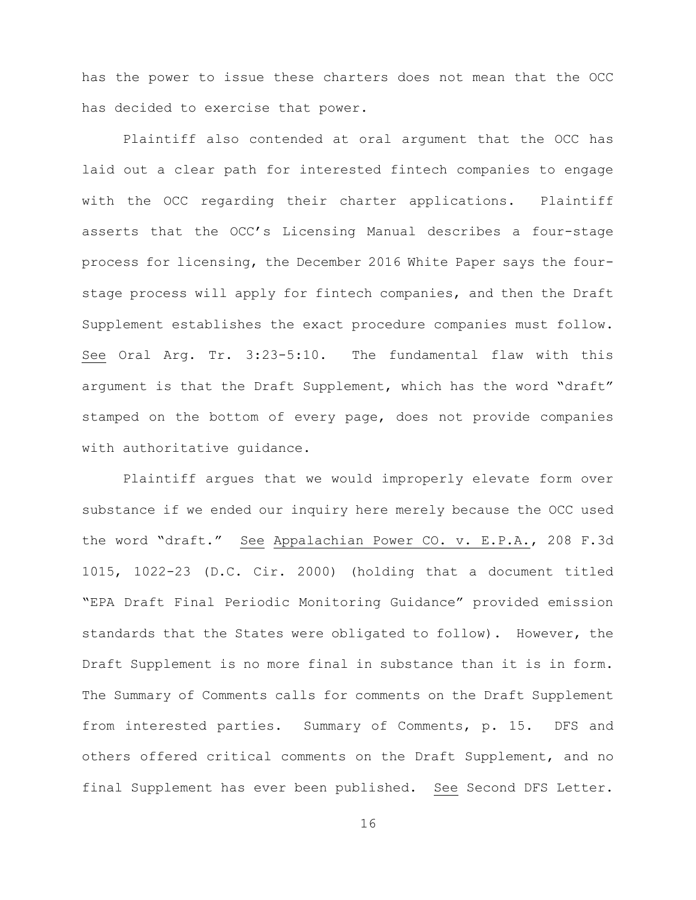has the power to issue these charters does not mean that the OCC has decided to exercise that power.

Plaintiff also contended at oral argument that the OCC has laid out a clear path for interested fintech companies to engage with the OCC regarding their charter applications. Plaintiff asserts that the OCC's Licensing Manual describes a four-stage process for licensing, the December 2016 White Paper says the fourstage process will apply for fintech companies, and then the Draft Supplement establishes the exact procedure companies must follow. See Oral Arg. Tr. 3:23-5:10. The fundamental flaw with this argument is that the Draft Supplement, which has the word "draft" stamped on the bottom of every page, does not provide companies with authoritative guidance.

Plaintiff argues that we would improperly elevate form over substance if we ended our inquiry here merely because the OCC used the word "draft." See Appalachian Power CO. v. E.P.A., 208 F.3d 1015, 1022-23 (D.C. Cir. 2000) (holding that a document titled "EPA Draft Final Periodic Monitoring Guidance" provided emission standards that the States were obligated to follow). However, the Draft Supplement is no more final in substance than it is in form. The Summary of Comments calls for comments on the Draft Supplement from interested parties. Summary of Comments, p. 15. DFS and others offered critical comments on the Draft Supplement, and no final Supplement has ever been published. See Second DFS Letter.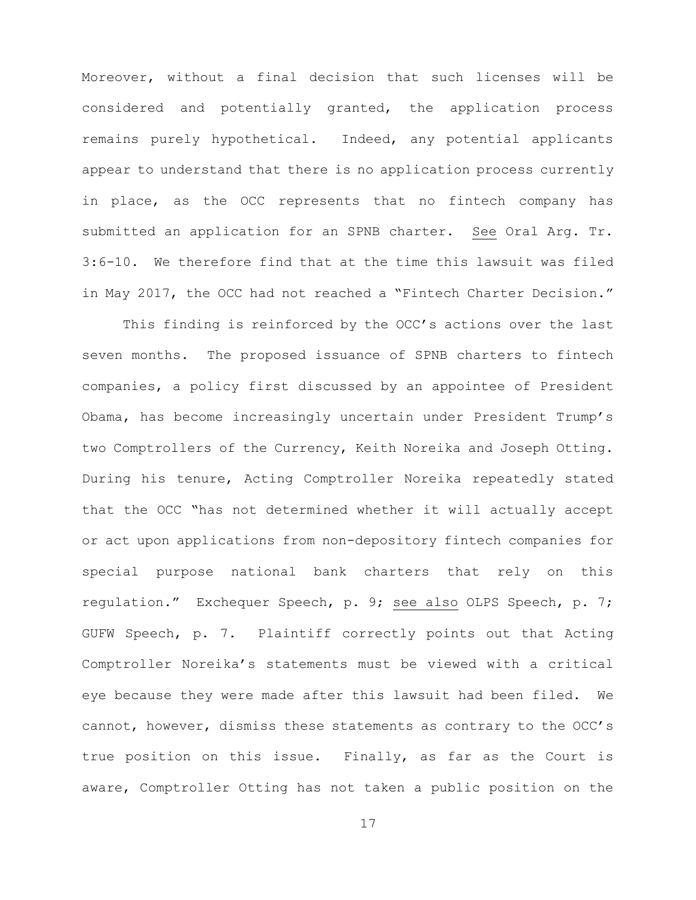Moreover, without a final decision that such licenses will be considered and potentially granted, the application process remains purely hypothetical. Indeed, any potential applicants appear to understand that there is no application process currently in place, as the OCC represents that no fintech company has submitted an application for an SPNB charter. See Oral Arg. Tr. 3:6-10. We therefore find that at the time this lawsuit was filed in May 2017, the OCC had not reached a "Fintech Charter Decision."

This finding is reinforced by the OCC's actions over the last seven months. The proposed issuance of SPNB charters to fintech companies, a policy first discussed by an appointee of President Obama, has become increasingly uncertain under President Trump's two Comptrollers of the Currency, Keith Noreika and Joseph Otting. During his tenure, Acting Comptroller Noreika repeatedly stated that the OCC "has not determined whether it will actually accept or act upon applications from non-depository fintech companies for special purpose national bank charters that rely on this regulation." Exchequer Speech, p. 9; see also OLPS Speech, p. 7; GUFW Speech, p. 7. Plaintiff correctly points out that Acting Comptroller Noreika's statements must be viewed with a critical eye because they were made after this lawsuit had been filed. We cannot, however, dismiss these statements as contrary to the OCC's true position on this issue. Finally, as far as the Court is aware, Comptroller Otting has not taken a public position on the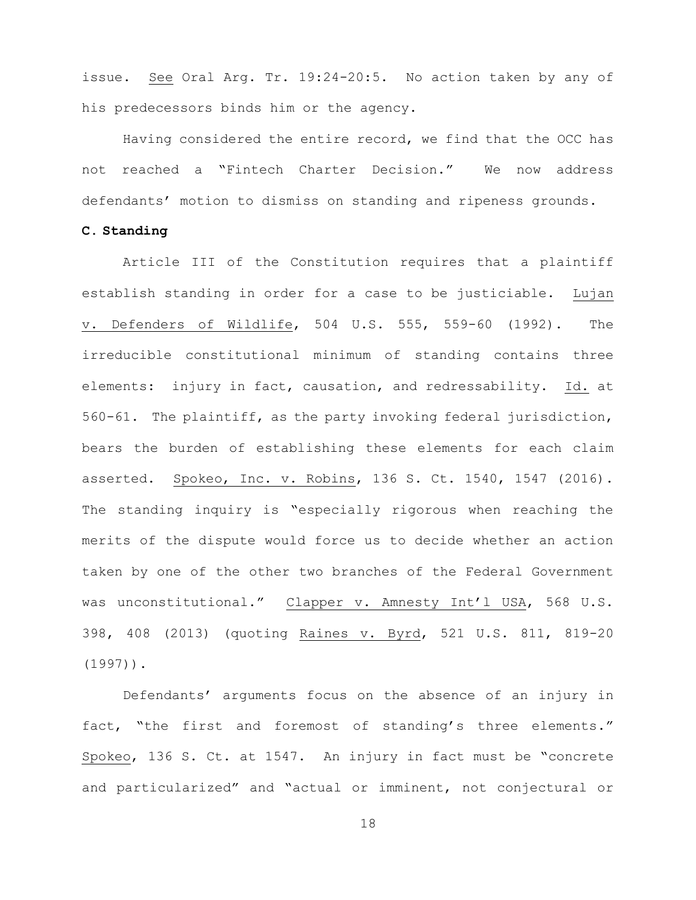issue. See Oral Arg. Tr. 19:24-20:5. No action taken by any of his predecessors binds him or the agency.

Having considered the entire record, we find that the OCC has not reached a "Fintech Charter Decision." We now address defendants' motion to dismiss on standing and ripeness grounds.

## **C. Standing**

Article III of the Constitution requires that a plaintiff establish standing in order for a case to be justiciable. Lujan v. Defenders of Wildlife, 504 U.S. 555, 559-60 (1992). The irreducible constitutional minimum of standing contains three elements: injury in fact, causation, and redressability. Id. at 560-61. The plaintiff, as the party invoking federal jurisdiction, bears the burden of establishing these elements for each claim asserted. Spokeo, Inc. v. Robins, 136 S. Ct. 1540, 1547 (2016). The standing inquiry is "especially rigorous when reaching the merits of the dispute would force us to decide whether an action taken by one of the other two branches of the Federal Government was unconstitutional." Clapper v. Amnesty Int'l USA, 568 U.S. 398, 408 (2013) (quoting Raines v. Byrd, 521 U.S. 811, 819-20 (1997)).

Defendants' arguments focus on the absence of an injury in fact, "the first and foremost of standing's three elements." Spokeo, 136 S. Ct. at 1547. An injury in fact must be "concrete and particularized" and "actual or imminent, not conjectural or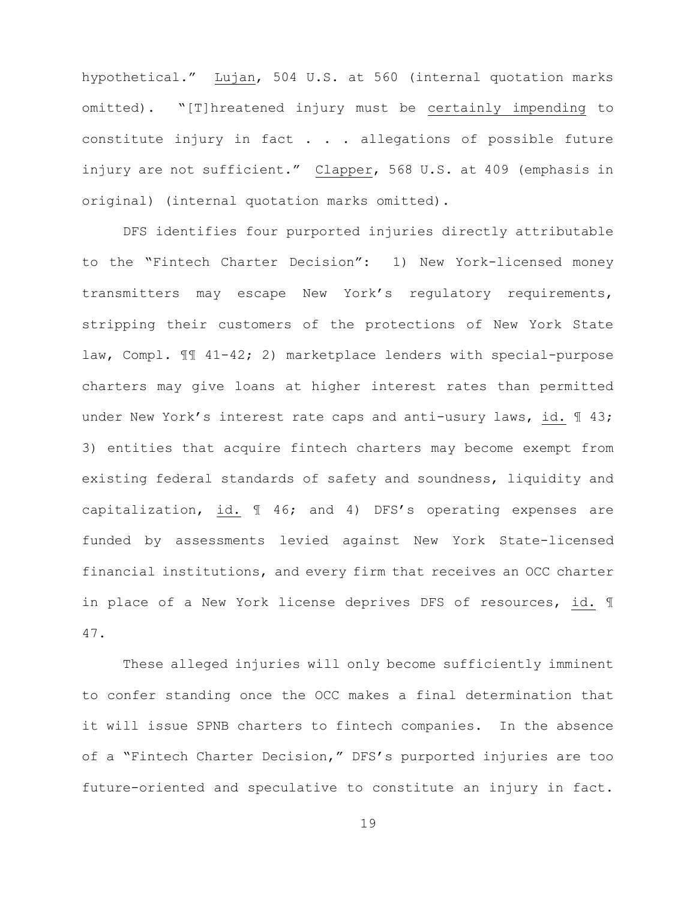hypothetical." Lujan, 504 U.S. at 560 (internal quotation marks omitted). "[T]hreatened injury must be certainly impending to constitute injury in fact . . . allegations of possible future injury are not sufficient." Clapper, 568 U.S. at 409 (emphasis in original) (internal quotation marks omitted).

DFS identifies four purported injuries directly attributable to the "Fintech Charter Decision": 1) New York-licensed money transmitters may escape New York's regulatory requirements, stripping their customers of the protections of New York State law, Compl. ¶¶ 41-42; 2) marketplace lenders with special-purpose charters may give loans at higher interest rates than permitted under New York's interest rate caps and anti-usury laws, id. 1 43; 3) entities that acquire fintech charters may become exempt from existing federal standards of safety and soundness, liquidity and capitalization, id. ¶ 46; and 4) DFS's operating expenses are funded by assessments levied against New York State-licensed financial institutions, and every firm that receives an OCC charter in place of a New York license deprives DFS of resources, id. ¶ 47.

These alleged injuries will only become sufficiently imminent to confer standing once the OCC makes a final determination that it will issue SPNB charters to fintech companies. In the absence of a "Fintech Charter Decision," DFS's purported injuries are too future-oriented and speculative to constitute an injury in fact.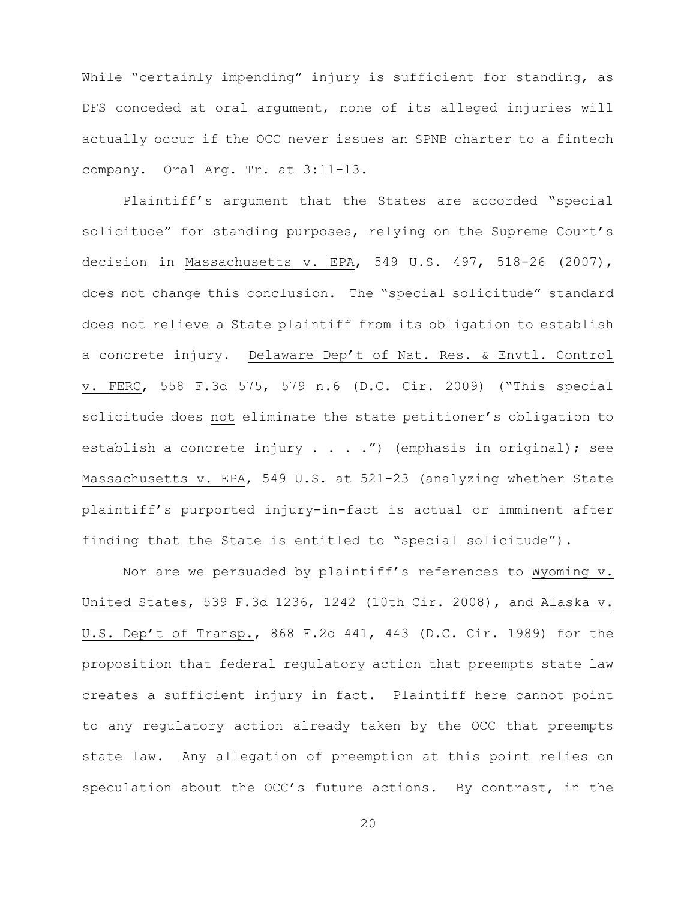While "certainly impending" injury is sufficient for standing, as DFS conceded at oral argument, none of its alleged injuries will actually occur if the OCC never issues an SPNB charter to a fintech company. Oral Arg. Tr. at 3:11-13.

Plaintiff's argument that the States are accorded "special solicitude" for standing purposes, relying on the Supreme Court's decision in Massachusetts v. EPA, 549 U.S. 497, 518-26 (2007), does not change this conclusion. The "special solicitude" standard does not relieve a State plaintiff from its obligation to establish a concrete injury. Delaware Dep't of Nat. Res. & Envtl. Control v. FERC, 558 F.3d 575, 579 n.6 (D.C. Cir. 2009) ("This special solicitude does not eliminate the state petitioner's obligation to establish a concrete injury . . . .") (emphasis in original); see Massachusetts v. EPA, 549 U.S. at 521-23 (analyzing whether State plaintiff's purported injury-in-fact is actual or imminent after finding that the State is entitled to "special solicitude").

Nor are we persuaded by plaintiff's references to Wyoming v. United States, 539 F.3d 1236, 1242 (10th Cir. 2008), and Alaska v. U.S. Dep't of Transp., 868 F.2d 441, 443 (D.C. Cir. 1989) for the proposition that federal regulatory action that preempts state law creates a sufficient injury in fact. Plaintiff here cannot point to any regulatory action already taken by the OCC that preempts state law. Any allegation of preemption at this point relies on speculation about the OCC's future actions. By contrast, in the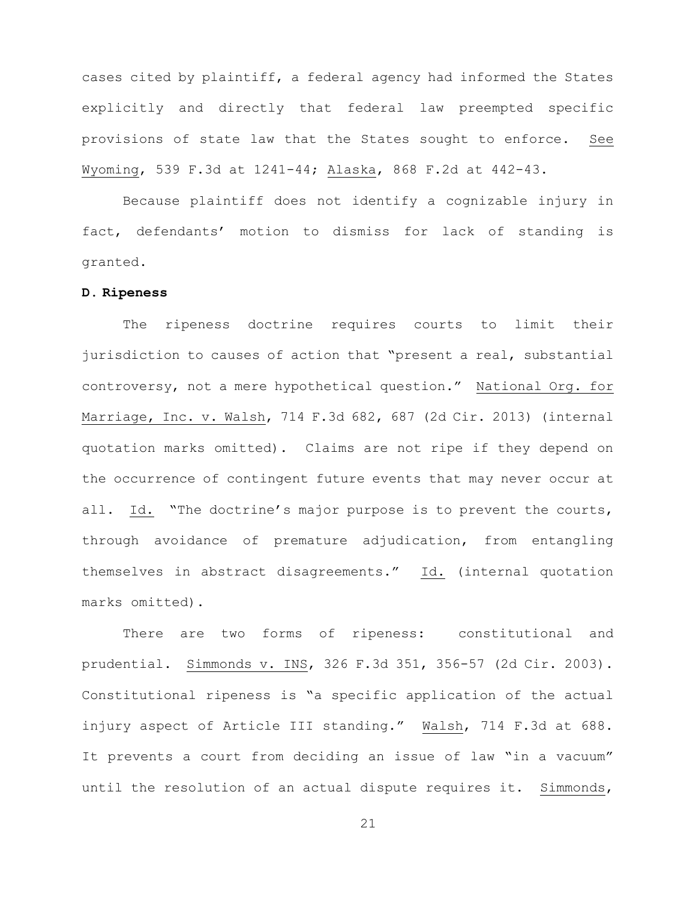cases cited by plaintiff, a federal agency had informed the States explicitly and directly that federal law preempted specific provisions of state law that the States sought to enforce. See Wyoming, 539 F.3d at 1241-44; Alaska, 868 F.2d at 442-43.

Because plaintiff does not identify a cognizable injury in fact, defendants' motion to dismiss for lack of standing is granted.

#### **D. Ripeness**

The ripeness doctrine requires courts to limit their jurisdiction to causes of action that "present a real, substantial controversy, not a mere hypothetical question." National Org. for Marriage, Inc. v. Walsh, 714 F.3d 682, 687 (2d Cir. 2013) (internal quotation marks omitted). Claims are not ripe if they depend on the occurrence of contingent future events that may never occur at all. Id. "The doctrine's major purpose is to prevent the courts, through avoidance of premature adjudication, from entangling themselves in abstract disagreements." Id. (internal quotation marks omitted).

There are two forms of ripeness: constitutional and prudential. Simmonds v. INS, 326 F.3d 351, 356-57 (2d Cir. 2003). Constitutional ripeness is "a specific application of the actual injury aspect of Article III standing." Walsh, 714 F.3d at 688. It prevents a court from deciding an issue of law "in a vacuum" until the resolution of an actual dispute requires it. Simmonds,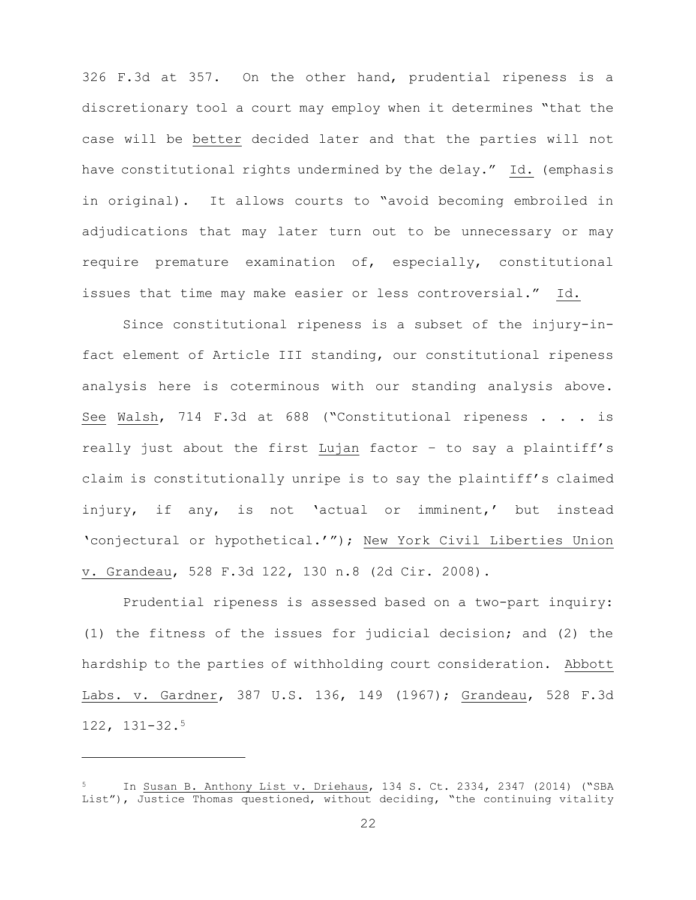326 F.3d at 357. On the other hand, prudential ripeness is a discretionary tool a court may employ when it determines "that the case will be better decided later and that the parties will not have constitutional rights undermined by the delay." Id. (emphasis in original). It allows courts to "avoid becoming embroiled in adjudications that may later turn out to be unnecessary or may require premature examination of, especially, constitutional issues that time may make easier or less controversial." Id.

Since constitutional ripeness is a subset of the injury-infact element of Article III standing, our constitutional ripeness analysis here is coterminous with our standing analysis above. See Walsh, 714 F.3d at 688 ("Constitutional ripeness . . . is really just about the first Lujan factor – to say a plaintiff's claim is constitutionally unripe is to say the plaintiff's claimed injury, if any, is not 'actual or imminent,' but instead 'conjectural or hypothetical.'"); New York Civil Liberties Union v. Grandeau, 528 F.3d 122, 130 n.8 (2d Cir. 2008).

Prudential ripeness is assessed based on a two-part inquiry: (1) the fitness of the issues for judicial decision; and (2) the hardship to the parties of withholding court consideration. Abbott Labs. v. Gardner, 387 U.S. 136, 149 (1967); Grandeau, 528 F.3d 122, 131-32.5

i<br>Li

In Susan B. Anthony List v. Driehaus, 134 S. Ct. 2334, 2347 (2014) ("SBA List"), Justice Thomas questioned, without deciding, "the continuing vitality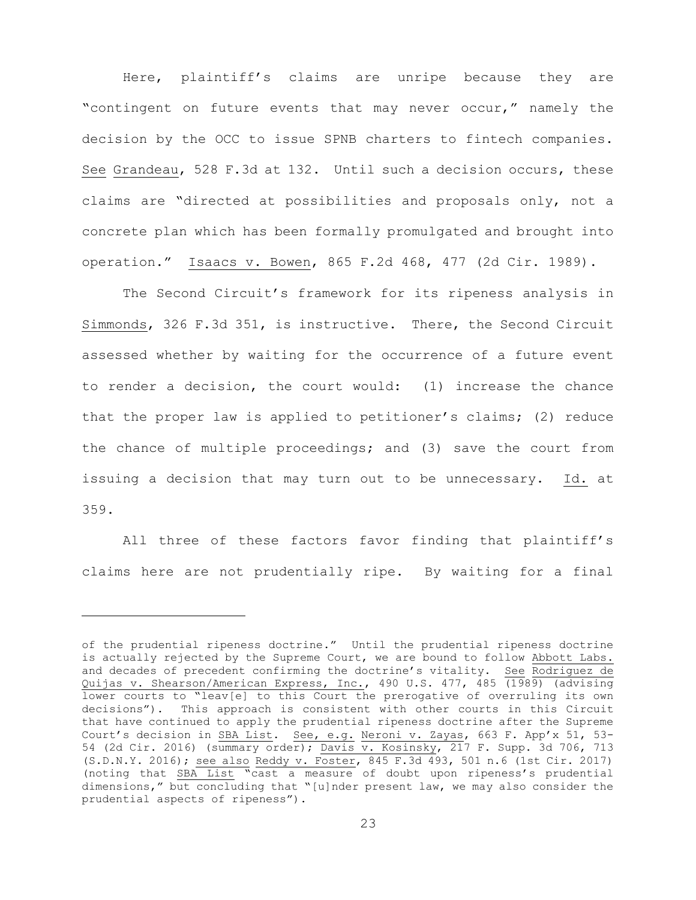Here, plaintiff's claims are unripe because they are "contingent on future events that may never occur," namely the decision by the OCC to issue SPNB charters to fintech companies. See Grandeau, 528 F.3d at 132. Until such a decision occurs, these claims are "directed at possibilities and proposals only, not a concrete plan which has been formally promulgated and brought into operation." Isaacs v. Bowen, 865 F.2d 468, 477 (2d Cir. 1989).

The Second Circuit's framework for its ripeness analysis in Simmonds, 326 F.3d 351, is instructive. There, the Second Circuit assessed whether by waiting for the occurrence of a future event to render a decision, the court would: (1) increase the chance that the proper law is applied to petitioner's claims; (2) reduce the chance of multiple proceedings; and (3) save the court from issuing a decision that may turn out to be unnecessary. Id. at 359.

All three of these factors favor finding that plaintiff's claims here are not prudentially ripe. By waiting for a final

i

of the prudential ripeness doctrine." Until the prudential ripeness doctrine is actually rejected by the Supreme Court, we are bound to follow Abbott Labs. and decades of precedent confirming the doctrine's vitality. See Rodriguez de Quijas v. Shearson/American Express, Inc., 490 U.S. 477, 485 (1989) (advising lower courts to "leav[e] to this Court the prerogative of overruling its own decisions"). This approach is consistent with other courts in this Circuit that have continued to apply the prudential ripeness doctrine after the Supreme Court's decision in SBA List. See, e.g. Neroni v. Zayas, 663 F. App'x 51, 53- 54 (2d Cir. 2016) (summary order); Davis v. Kosinsky, 217 F. Supp. 3d 706, 713 (S.D.N.Y. 2016); see also Reddy v. Foster, 845 F.3d 493, 501 n.6 (1st Cir. 2017) (noting that SBA List "cast a measure of doubt upon ripeness's prudential dimensions," but concluding that "[u]nder present law, we may also consider the prudential aspects of ripeness").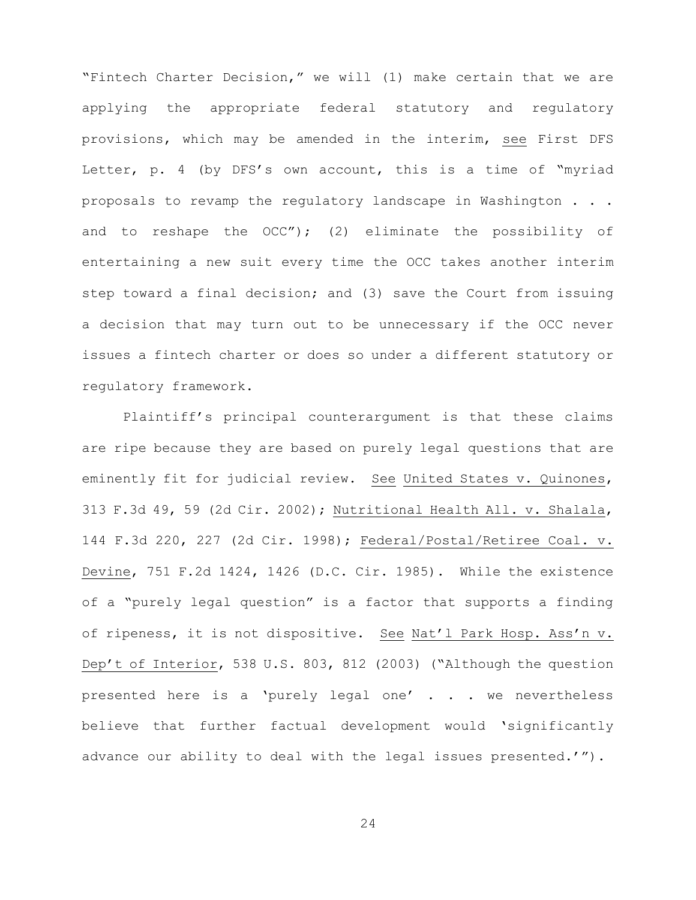"Fintech Charter Decision," we will (1) make certain that we are applying the appropriate federal statutory and regulatory provisions, which may be amended in the interim, see First DFS Letter, p. 4 (by DFS's own account, this is a time of "myriad proposals to revamp the regulatory landscape in Washington . . . and to reshape the OCC"); (2) eliminate the possibility of entertaining a new suit every time the OCC takes another interim step toward a final decision; and (3) save the Court from issuing a decision that may turn out to be unnecessary if the OCC never issues a fintech charter or does so under a different statutory or regulatory framework.

Plaintiff's principal counterargument is that these claims are ripe because they are based on purely legal questions that are eminently fit for judicial review. See United States v. Quinones, 313 F.3d 49, 59 (2d Cir. 2002); Nutritional Health All. v. Shalala, 144 F.3d 220, 227 (2d Cir. 1998); Federal/Postal/Retiree Coal. v. Devine, 751 F.2d 1424, 1426 (D.C. Cir. 1985). While the existence of a "purely legal question" is a factor that supports a finding of ripeness, it is not dispositive. See Nat'l Park Hosp. Ass'n v. Dep't of Interior, 538 U.S. 803, 812 (2003) ("Although the question presented here is a 'purely legal one' . . . we nevertheless believe that further factual development would 'significantly advance our ability to deal with the legal issues presented.'").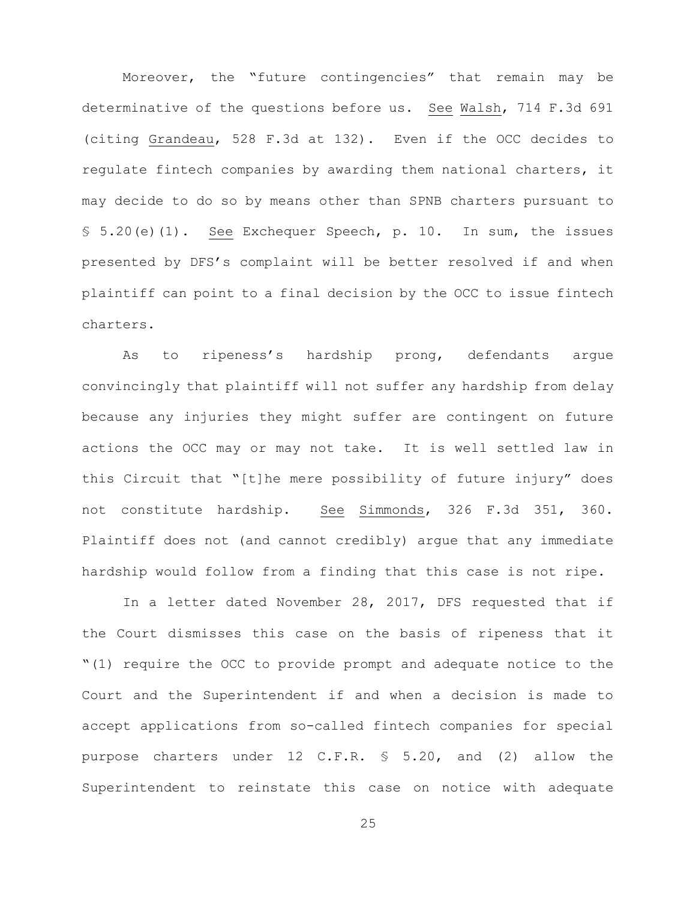Moreover, the "future contingencies" that remain may be determinative of the questions before us. See Walsh, 714 F.3d 691 (citing Grandeau, 528 F.3d at 132). Even if the OCC decides to regulate fintech companies by awarding them national charters, it may decide to do so by means other than SPNB charters pursuant to § 5.20(e)(1). See Exchequer Speech, p. 10. In sum, the issues presented by DFS's complaint will be better resolved if and when plaintiff can point to a final decision by the OCC to issue fintech charters.

As to ripeness's hardship prong, defendants argue convincingly that plaintiff will not suffer any hardship from delay because any injuries they might suffer are contingent on future actions the OCC may or may not take. It is well settled law in this Circuit that "[t]he mere possibility of future injury" does not constitute hardship. See Simmonds, 326 F.3d 351, 360. Plaintiff does not (and cannot credibly) argue that any immediate hardship would follow from a finding that this case is not ripe.

In a letter dated November 28, 2017, DFS requested that if the Court dismisses this case on the basis of ripeness that it "(1) require the OCC to provide prompt and adequate notice to the Court and the Superintendent if and when a decision is made to accept applications from so-called fintech companies for special purpose charters under 12 C.F.R. § 5.20, and (2) allow the Superintendent to reinstate this case on notice with adequate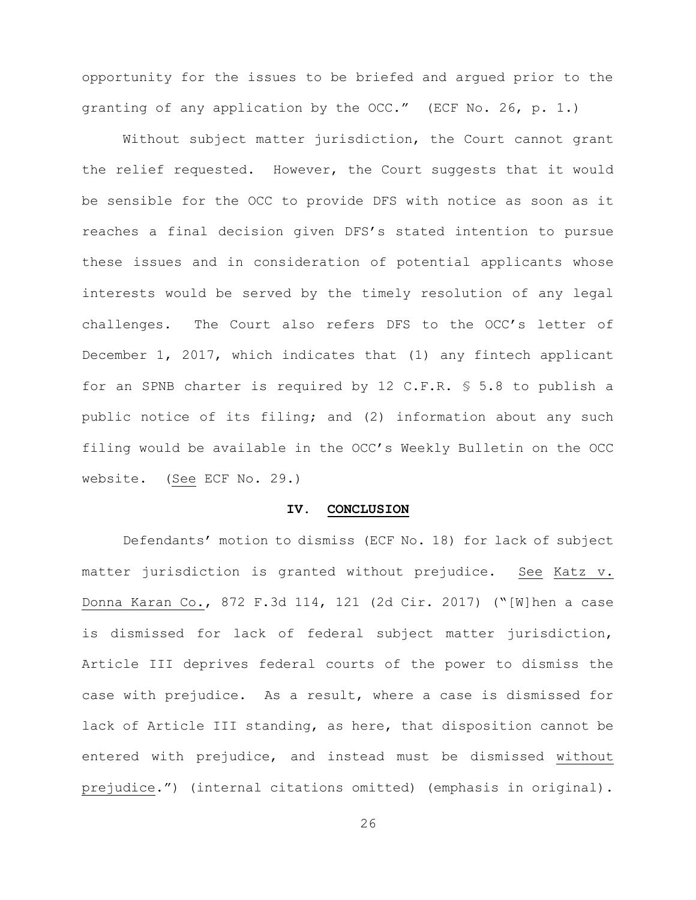opportunity for the issues to be briefed and argued prior to the granting of any application by the OCC." (ECF No. 26, p. 1.)

Without subject matter jurisdiction, the Court cannot grant the relief requested. However, the Court suggests that it would be sensible for the OCC to provide DFS with notice as soon as it reaches a final decision given DFS's stated intention to pursue these issues and in consideration of potential applicants whose interests would be served by the timely resolution of any legal challenges. The Court also refers DFS to the OCC's letter of December 1, 2017, which indicates that (1) any fintech applicant for an SPNB charter is required by 12 C.F.R. § 5.8 to publish a public notice of its filing; and (2) information about any such filing would be available in the OCC's Weekly Bulletin on the OCC website. (See ECF No. 29.)

#### **IV. CONCLUSION**

Defendants' motion to dismiss (ECF No. 18) for lack of subject matter jurisdiction is granted without prejudice. See Katz v. Donna Karan Co., 872 F.3d 114, 121 (2d Cir. 2017) ("[W]hen a case is dismissed for lack of federal subject matter jurisdiction, Article III deprives federal courts of the power to dismiss the case with prejudice. As a result, where a case is dismissed for lack of Article III standing, as here, that disposition cannot be entered with prejudice, and instead must be dismissed without prejudice.") (internal citations omitted) (emphasis in original).